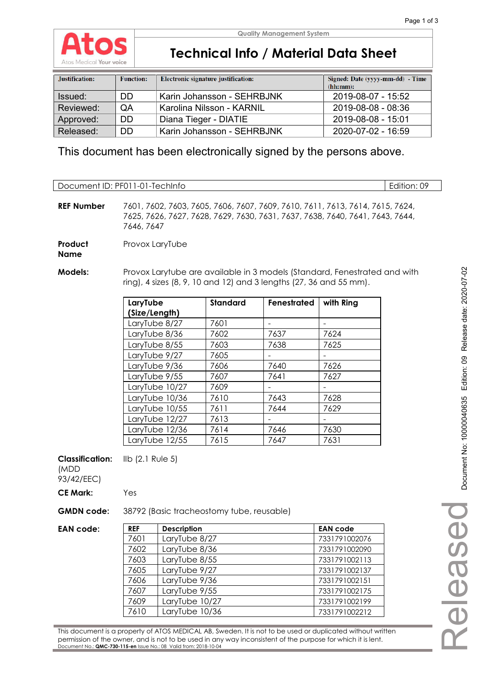

## **Technical Info / Material Data Sheet**

| Justification: | <b>Function:</b> | Electronic signature justification: | Signed: Date (yyyy-mm-dd) - Time<br>(hh:mm): |
|----------------|------------------|-------------------------------------|----------------------------------------------|
| Issued:        | DD               | Karin Johansson - SEHRBJNK          | 2019-08-07 - 15:52                           |
| Reviewed:      | QA               | Karolina Nilsson - KARNIL           | 2019-08-08 - 08:36                           |
| Approved:      | DD               | Diana Tieger - DIATIE               | 2019-08-08 - 15:01                           |
| Released:      | DD.              | Karin Johansson - SEHRBJNK          | 2020-07-02 - 16:59                           |

This document has been electronically signed by the persons above.

| Document ID: PF011-01-TechInfo               |                                                                                                                                                                              |                    |                                           |                                                                                                             |                                                                                                            | Edition: 09 |
|----------------------------------------------|------------------------------------------------------------------------------------------------------------------------------------------------------------------------------|--------------------|-------------------------------------------|-------------------------------------------------------------------------------------------------------------|------------------------------------------------------------------------------------------------------------|-------------|
|                                              |                                                                                                                                                                              |                    |                                           |                                                                                                             |                                                                                                            |             |
| <b>REF Number</b>                            | 7601, 7602, 7603, 7605, 7606, 7607, 7609, 7610, 7611, 7613, 7614, 7615, 7624,<br>7625, 7626, 7627, 7628, 7629, 7630, 7631, 7637, 7638, 7640, 7641, 7643, 7644,<br>7646, 7647 |                    |                                           |                                                                                                             |                                                                                                            |             |
| Product<br><b>Name</b>                       |                                                                                                                                                                              | Provox LaryTube    |                                           |                                                                                                             |                                                                                                            |             |
|                                              |                                                                                                                                                                              |                    |                                           |                                                                                                             |                                                                                                            |             |
| <b>Models:</b>                               |                                                                                                                                                                              |                    |                                           |                                                                                                             | Provox Larytube are available in 3 models (Standard, Fenestrated and with                                  |             |
|                                              |                                                                                                                                                                              |                    |                                           | ring), 4 sizes (8, 9, 10 and 12) and 3 lengths (27, 36 and 55 mm).                                          |                                                                                                            |             |
|                                              | LaryTube                                                                                                                                                                     |                    | <b>Standard</b>                           | Fenestrated                                                                                                 | with Ring                                                                                                  |             |
|                                              | (Size/Length)                                                                                                                                                                |                    |                                           |                                                                                                             |                                                                                                            |             |
|                                              |                                                                                                                                                                              | LaryTube 8/27      | 7601                                      | $\blacksquare$                                                                                              | $\overline{\phantom{a}}$                                                                                   |             |
|                                              |                                                                                                                                                                              | LaryTube 8/36      | 7602                                      | 7637                                                                                                        | 7624                                                                                                       |             |
|                                              |                                                                                                                                                                              | LaryTube 8/55      | 7603                                      | 7638                                                                                                        | 7625                                                                                                       |             |
|                                              |                                                                                                                                                                              | LaryTube 9/27      | 7605                                      |                                                                                                             |                                                                                                            |             |
|                                              |                                                                                                                                                                              | LaryTube 9/36      | 7606                                      | 7640                                                                                                        | 7626                                                                                                       |             |
|                                              |                                                                                                                                                                              | LaryTube 9/55      | 7607                                      | 7641                                                                                                        | 7627                                                                                                       |             |
|                                              |                                                                                                                                                                              | LaryTube 10/27     | 7609                                      |                                                                                                             |                                                                                                            |             |
|                                              |                                                                                                                                                                              | LaryTube 10/36     | 7610                                      | 7643                                                                                                        | 7628                                                                                                       |             |
|                                              |                                                                                                                                                                              | LaryTube 10/55     | 7611                                      | 7644                                                                                                        | 7629                                                                                                       |             |
|                                              |                                                                                                                                                                              | LaryTube 12/27     | 7613                                      |                                                                                                             |                                                                                                            |             |
|                                              |                                                                                                                                                                              | LaryTube 12/36     | 7614                                      | 7646                                                                                                        | 7630                                                                                                       |             |
|                                              |                                                                                                                                                                              | LaryTube 12/55     | 7615                                      | 7647                                                                                                        | 7631                                                                                                       |             |
| <b>Classification:</b><br>(MDD<br>93/42/EEC) | $I\vert\vert b$ (2.1 Rule 5)                                                                                                                                                 |                    |                                           |                                                                                                             |                                                                                                            |             |
| <b>CE Mark:</b>                              | Yes                                                                                                                                                                          |                    |                                           |                                                                                                             |                                                                                                            |             |
| <b>GMDN</b> code:                            |                                                                                                                                                                              |                    | 38792 (Basic tracheostomy tube, reusable) |                                                                                                             |                                                                                                            |             |
| <b>EAN code:</b>                             | <b>REF</b>                                                                                                                                                                   | <b>Description</b> |                                           |                                                                                                             | <b>EAN code</b>                                                                                            |             |
|                                              | 7601                                                                                                                                                                         | LaryTube 8/27      |                                           |                                                                                                             | 7331791002076                                                                                              |             |
|                                              | 7602                                                                                                                                                                         | LaryTube 8/36      |                                           |                                                                                                             | 7331791002090                                                                                              |             |
|                                              | 7603                                                                                                                                                                         | LaryTube 8/55      |                                           |                                                                                                             | 7331791002113                                                                                              |             |
|                                              | 7605                                                                                                                                                                         | LaryTube 9/27      |                                           |                                                                                                             | 7331791002137                                                                                              |             |
|                                              | 7606                                                                                                                                                                         | LaryTube 9/36      |                                           |                                                                                                             | 7331791002151                                                                                              |             |
|                                              | 7607                                                                                                                                                                         | LaryTube 9/55      |                                           |                                                                                                             | 7331791002175                                                                                              |             |
|                                              | 7609                                                                                                                                                                         | LaryTube 10/27     |                                           |                                                                                                             | 7331791002199                                                                                              |             |
|                                              | 7610                                                                                                                                                                         | LaryTube 10/36     |                                           |                                                                                                             | 7331791002212                                                                                              |             |
|                                              |                                                                                                                                                                              |                    |                                           |                                                                                                             |                                                                                                            |             |
|                                              |                                                                                                                                                                              |                    |                                           | permission of the owner, and is not to be used in any way inconsistent of the purpose for which it is lent. | This document is a property of ATOS MEDICAL AB, Sweden. It is not to be used or duplicated without written |             |

Document No.: **QMC-730-115-en** Issue No.: 08 Valid from: 2018-10-04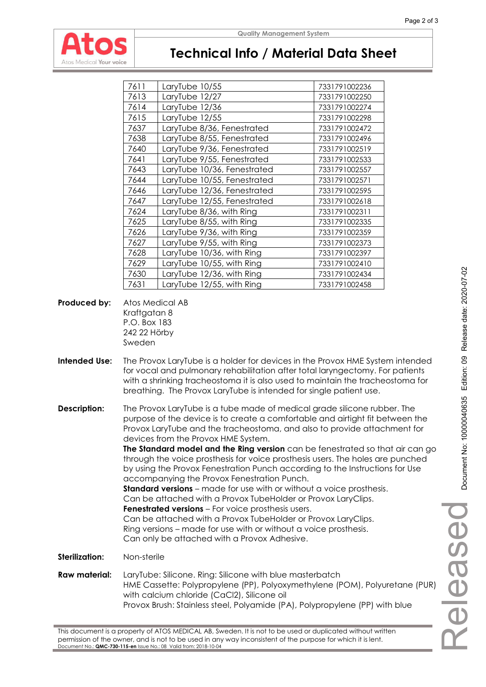

### **Quality Management System**

### **Technical Info / Material Data Sheet**

| 7611 | LaryTube 10/55              | 7331791002236 |
|------|-----------------------------|---------------|
| 7613 | LaryTube 12/27              | 7331791002250 |
| 7614 | LaryTube 12/36              | 7331791002274 |
| 7615 | LaryTube 12/55              | 7331791002298 |
| 7637 | LaryTube 8/36, Fenestrated  | 7331791002472 |
| 7638 | LaryTube 8/55, Fenestrated  | 7331791002496 |
| 7640 | LaryTube 9/36, Fenestrated  | 7331791002519 |
| 7641 | LaryTube 9/55, Fenestrated  | 7331791002533 |
| 7643 | LaryTube 10/36, Fenestrated | 7331791002557 |
| 7644 | LaryTube 10/55, Fenestrated | 7331791002571 |
| 7646 | LaryTube 12/36, Fenestrated | 7331791002595 |
| 7647 | LaryTube 12/55, Fenestrated | 7331791002618 |
| 7624 | LaryTube 8/36, with Ring    | 7331791002311 |
| 7625 | LaryTube 8/55, with Ring    | 7331791002335 |
| 7626 | LaryTube 9/36, with Ring    | 7331791002359 |
| 7627 | LaryTube 9/55, with Ring    | 7331791002373 |
| 7628 | LaryTube 10/36, with Ring   | 7331791002397 |
| 7629 | LaryTube 10/55, with Ring   | 7331791002410 |
| 7630 | LaryTube 12/36, with Ring   | 7331791002434 |
| 7631 | LaryTube 12/55, with Ring   | 7331791002458 |

**Produced by:** Atos Medical AB Kraftgatan 8 P.O. Box 183 242 22 Hörby Sweden

**Intended Use:** The Provox LaryTube is a holder for devices in the Provox HME System intended for vocal and pulmonary rehabilitation after total laryngectomy. For patients with a shrinking tracheostoma it is also used to maintain the tracheostoma for breathing. The Provox LaryTube is intended for single patient use.

**Description:** The Provox LaryTube is a tube made of medical grade silicone rubber. The purpose of the device is to create a comfortable and airtight fit between the Provox LaryTube and the tracheostoma, and also to provide attachment for devices from the Provox HME System.

**The Standard model and the Ring version** can be fenestrated so that air can go through the voice prosthesis for voice prosthesis users. The holes are punched by using the Provox Fenestration Punch according to the Instructions for Use accompanying the Provox Fenestration Punch.

**Standard versions** – made for use with or without a voice prosthesis. Can be attached with a Provox TubeHolder or Provox LaryClips. **Fenestrated versions** – For voice prosthesis users. Can be attached with a Provox TubeHolder or Provox LaryClips. Ring versions – made for use with or without a voice prosthesis.

Can only be attached with a Provox Adhesive.

**Sterilization:** Non-sterile

**Raw material:** LaryTube: Silicone. Ring: Silicone with blue masterbatch HME Cassette: Polypropylene (PP), Polyoxymethylene (POM), Polyuretane (PUR) with calcium chloride (CaCl2), Silicone oil Provox Brush: Stainless steel, Polyamide (PA), Polypropylene (PP) with blue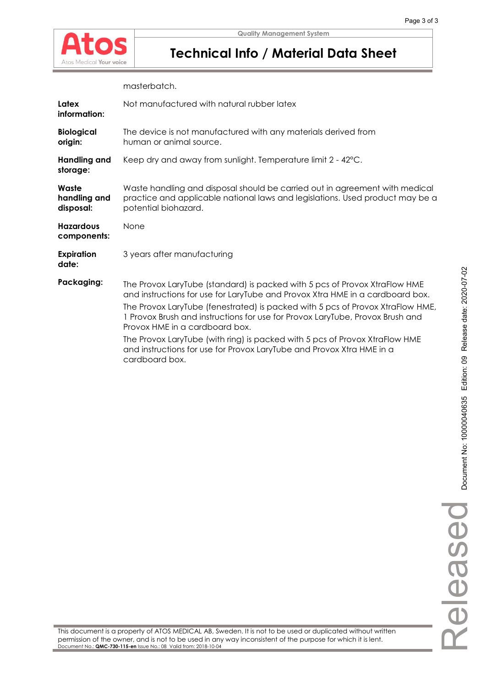

## **Technical Info / Material Data Sheet**

masterbatch.

| Latex<br>information:              | Not manufactured with natural rubber latex                                                                                                                                                                                                                                                                                                                                                                                                                                                                                                 |
|------------------------------------|--------------------------------------------------------------------------------------------------------------------------------------------------------------------------------------------------------------------------------------------------------------------------------------------------------------------------------------------------------------------------------------------------------------------------------------------------------------------------------------------------------------------------------------------|
| <b>Biological</b><br>origin:       | The device is not manufactured with any materials derived from<br>human or animal source.                                                                                                                                                                                                                                                                                                                                                                                                                                                  |
| <b>Handling and</b><br>storage:    | Keep dry and away from sunlight. Temperature limit 2 - 42°C.                                                                                                                                                                                                                                                                                                                                                                                                                                                                               |
| Waste<br>handling and<br>disposal: | Waste handling and disposal should be carried out in agreement with medical<br>practice and applicable national laws and legislations. Used product may be a<br>potential biohazard.                                                                                                                                                                                                                                                                                                                                                       |
| <b>Hazardous</b><br>components:    | None                                                                                                                                                                                                                                                                                                                                                                                                                                                                                                                                       |
| <b>Expiration</b><br>date:         | 3 years after manufacturing                                                                                                                                                                                                                                                                                                                                                                                                                                                                                                                |
| Packaging:                         | The Provox LaryTube (standard) is packed with 5 pcs of Provox XtraFlow HME<br>and instructions for use for LaryTube and Provox Xtra HME in a cardboard box.<br>The Provox LaryTube (fenestrated) is packed with 5 pcs of Provox XtraFlow HME,<br>1 Provox Brush and instructions for use for Provox LaryTube, Provox Brush and<br>Provox HME in a cardboard box.<br>The Provox LaryTube (with ring) is packed with 5 pcs of Provox XtraFlow HME<br>and instructions for use for Provox LaryTube and Provox Xtra HME in a<br>cardboard box. |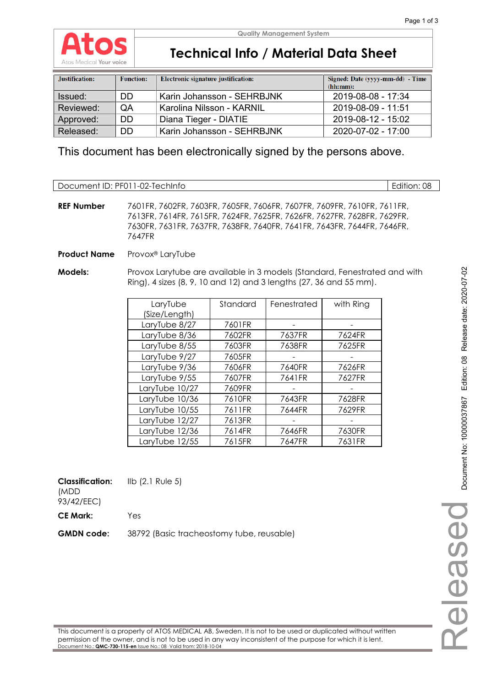

**Quality Management System**

### **Technical Info / Material Data Sheet**

| Justification: | <b>Function:</b> | Electronic signature justification: | Signed: Date (yyyy-mm-dd) - Time<br>(hh:mm): |
|----------------|------------------|-------------------------------------|----------------------------------------------|
| Issued:        | DD               | Karin Johansson - SEHRBJNK          | $2019 - 08 - 08 - 17:34$                     |
| Reviewed:      | QA               | Karolina Nilsson - KARNIL           | 2019-08-09 - 11:51                           |
| Approved:      | DD.              | Diana Tieger - DIATIE               | 2019-08-12 - 15:02                           |
| Released:      | DD.              | Karin Johansson - SEHRBJNK          | $2020 - 07 - 02 - 17:00$                     |

This document has been electronically signed by the persons above.

Document ID: PF011-02-TechInfo **Edition: 08** 

**REF Number** 7601FR, 7602FR, 7603FR, 7605FR, 7606FR, 7607FR, 7609FR, 7610FR, 7611FR, 7613FR, 7614FR, 7615FR, 7624FR, 7625FR, 7626FR, 7627FR, 7628FR, 7629FR, 7630FR, 7631FR, 7637FR, 7638FR, 7640FR, 7641FR, 7643FR, 7644FR, 7646FR, 7647FR

**Product Name** Provox® LaryTube

**Models:** Provox Larytube are available in 3 models (Standard, Fenestrated and with Ring), 4 sizes (8, 9, 10 and 12) and 3 lengths (27, 36 and 55 mm).

| LaryTube       | Standard | Fenestrated | with Ring |
|----------------|----------|-------------|-----------|
| (Size/Length)  |          |             |           |
| LaryTube 8/27  | 7601FR   |             |           |
| LaryTube 8/36  | 7602FR   | 7637FR      | 7624FR    |
| LaryTube 8/55  | 7603FR   | 7638FR      | 7625FR    |
| LaryTube 9/27  | 7605FR   |             |           |
| LaryTube 9/36  | 7606FR   | 7640FR      | 7626FR    |
| LaryTube 9/55  | 7607FR   | 7641FR      | 7627FR    |
| LaryTube 10/27 | 7609FR   |             |           |
| LaryTube 10/36 | 7610FR   | 7643FR      | 7628FR    |
| LaryTube 10/55 | 7611FR   | 7644FR      | 7629FR    |
| LaryTube 12/27 | 7613FR   |             |           |
| LaryTube 12/36 | 7614FR   | 7646FR      | 7630FR    |
| LaryTube 12/55 | 7615FR   | 7647FR      | 7631FR    |

**Classification:**  IIb (2.1 Rule 5)

(MDD 93/42/EEC)

**CE Mark:** Yes

**GMDN code:** 38792 (Basic tracheostomy tube, reusable)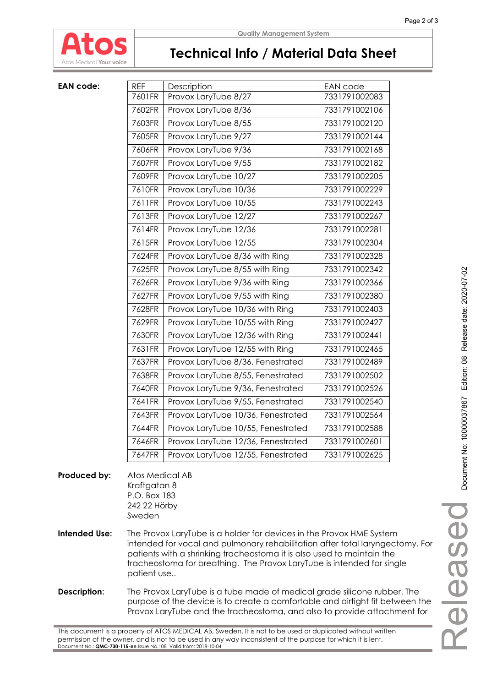

#### **Quality Management System**

### **Technical Info / Material Data Sheet**

| <b>EAN code:</b> | <b>REF</b> | Description                        | EAN code      |
|------------------|------------|------------------------------------|---------------|
|                  | 7601FR     | Provox LaryTube 8/27               | 7331791002083 |
|                  | 7602FR     | Provox LaryTube 8/36               | 7331791002106 |
|                  | 7603FR     | Provox LaryTube 8/55               | 7331791002120 |
|                  | 7605FR     | Provox LaryTube 9/27               | 7331791002144 |
|                  | 7606FR     | Provox LaryTube 9/36               | 7331791002168 |
|                  | 7607FR     | Provox LaryTube 9/55               | 7331791002182 |
|                  | 7609FR     | Provox LaryTube 10/27              | 7331791002205 |
|                  | 7610FR     | Provox LaryTube 10/36              | 7331791002229 |
|                  | 7611FR     | Provox LaryTube 10/55              | 7331791002243 |
|                  | 7613FR     | Provox LaryTube 12/27              | 7331791002267 |
|                  | 7614FR     | Provox LaryTube 12/36              | 7331791002281 |
|                  | 7615FR     | Provox LaryTube 12/55              | 7331791002304 |
|                  | 7624FR     | Provox LaryTube 8/36 with Ring     | 7331791002328 |
|                  | 7625FR     | Provox LaryTube 8/55 with Ring     | 7331791002342 |
|                  | 7626FR     | Provox LaryTube 9/36 with Ring     | 7331791002366 |
|                  | 7627FR     | Provox LaryTube 9/55 with Ring     | 7331791002380 |
|                  | 7628FR     | Provox LaryTube 10/36 with Ring    | 7331791002403 |
|                  | 7629FR     | Provox LaryTube 10/55 with Ring    | 7331791002427 |
|                  | 7630FR     | Provox LaryTube 12/36 with Ring    | 7331791002441 |
|                  | 7631FR     | Provox LaryTube 12/55 with Ring    | 7331791002465 |
|                  | 7637FR     | Provox LaryTube 8/36, Fenestrated  | 7331791002489 |
|                  | 7638FR     | Provox LaryTube 8/55, Fenestrated  | 7331791002502 |
|                  | 7640FR     | Provox LaryTube 9/36, Fenestrated  | 7331791002526 |
|                  | 7641FR     | Provox LaryTube 9/55, Fenestrated  | 7331791002540 |
|                  | 7643FR     | Provox LaryTube 10/36, Fenestrated | 7331791002564 |
|                  | 7644FR     | Provox LaryTube 10/55, Fenestrated | 7331791002588 |
|                  | 7646FR     | Provox LaryTube 12/36, Fenestrated | 7331791002601 |
|                  | 7647FR     | Provox LaryTube 12/55, Fenestrated | 7331791002625 |
|                  |            |                                    |               |

### **Produced by:** Atos Medical AB Kraftgatan 8 P.O. Box 183 242 22 Hörby Sweden

- **Intended Use:** The Provox LaryTube is a holder for devices in the Provox HME System intended for vocal and pulmonary rehabilitation after total laryngectomy. For patients with a shrinking tracheostoma it is also used to maintain the tracheostoma for breathing. The Provox LaryTube is intended for single patient use..
- **Description:** The Provox LaryTube is a tube made of medical grade silicone rubber. The purpose of the device is to create a comfortable and airtight fit between the Provox LaryTube and the tracheostoma, and also to provide attachment for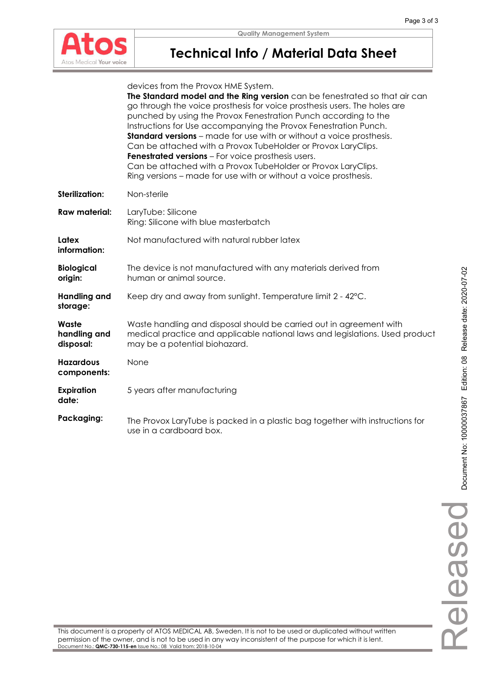

## **Technical Info / Material Data Sheet**

|                                    | devices from the Provox HME System.<br>The Standard model and the Ring version can be fenestrated so that air can<br>go through the voice prosthesis for voice prosthesis users. The holes are<br>punched by using the Provox Fenestration Punch according to the<br>Instructions for Use accompanying the Provox Fenestration Punch.<br><b>Standard versions</b> – made for use with or without a voice prosthesis.<br>Can be attached with a Provox TubeHolder or Provox LaryClips.<br><b>Fenestrated versions</b> - For voice prosthesis users. |
|------------------------------------|----------------------------------------------------------------------------------------------------------------------------------------------------------------------------------------------------------------------------------------------------------------------------------------------------------------------------------------------------------------------------------------------------------------------------------------------------------------------------------------------------------------------------------------------------|
|                                    | Can be attached with a Provox TubeHolder or Provox LaryClips.<br>Ring versions - made for use with or without a voice prosthesis.                                                                                                                                                                                                                                                                                                                                                                                                                  |
| <b>Sterilization:</b>              | Non-sterile                                                                                                                                                                                                                                                                                                                                                                                                                                                                                                                                        |
| <b>Raw material:</b>               | LaryTube: Silicone<br>Ring: Silicone with blue masterbatch                                                                                                                                                                                                                                                                                                                                                                                                                                                                                         |
| Latex<br>information:              | Not manufactured with natural rubber latex                                                                                                                                                                                                                                                                                                                                                                                                                                                                                                         |
| <b>Biological</b><br>origin:       | The device is not manufactured with any materials derived from<br>human or animal source.                                                                                                                                                                                                                                                                                                                                                                                                                                                          |
| <b>Handling and</b><br>storage:    | Keep dry and away from sunlight. Temperature limit 2 - 42°C.                                                                                                                                                                                                                                                                                                                                                                                                                                                                                       |
| Waste<br>handling and<br>disposal: | Waste handling and disposal should be carried out in agreement with<br>medical practice and applicable national laws and legislations. Used product<br>may be a potential biohazard.                                                                                                                                                                                                                                                                                                                                                               |
| <b>Hazardous</b><br>components:    | None                                                                                                                                                                                                                                                                                                                                                                                                                                                                                                                                               |
| <b>Expiration</b><br>date:         | 5 years after manufacturing                                                                                                                                                                                                                                                                                                                                                                                                                                                                                                                        |
| Packaging:                         | The Provox LaryTube is packed in a plastic bag together with instructions for<br>use in a cardboard box.                                                                                                                                                                                                                                                                                                                                                                                                                                           |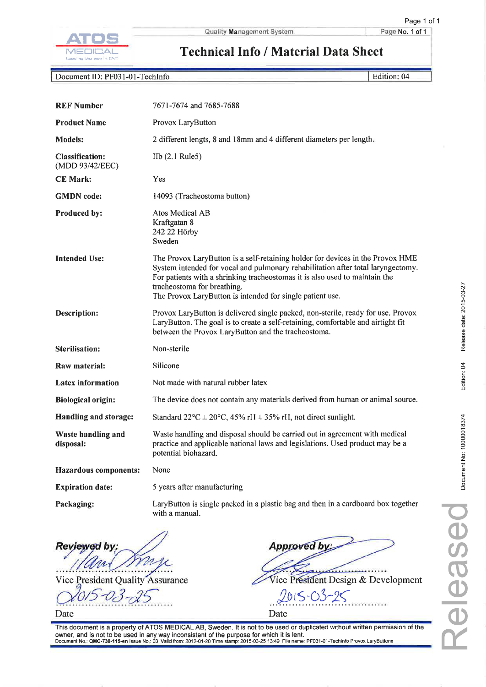

Page No. 1 of 1

Edition: 04

### **Technical Info / Material Data Sheet**

Document ID: PF031-01-TechInfo

| <b>REF Number</b>                         | 7671-7674 and 7685-7688                                                                                                                                                                                                                                                                                                                       |
|-------------------------------------------|-----------------------------------------------------------------------------------------------------------------------------------------------------------------------------------------------------------------------------------------------------------------------------------------------------------------------------------------------|
| <b>Product Name</b>                       | Provox LaryButton                                                                                                                                                                                                                                                                                                                             |
| <b>Models:</b>                            | 2 different lengts, 8 and 18mm and 4 different diameters per length.                                                                                                                                                                                                                                                                          |
| <b>Classification:</b><br>(MDD 93/42/EEC) | IIb (2.1 Rule5)                                                                                                                                                                                                                                                                                                                               |
| <b>CE Mark:</b>                           | Yes                                                                                                                                                                                                                                                                                                                                           |
| <b>GMDN</b> code:                         | 14093 (Tracheostoma button)                                                                                                                                                                                                                                                                                                                   |
| Produced by:                              | Atos Medical AB<br>Kraftgatan 8<br>242 22 Hörby<br>Sweden                                                                                                                                                                                                                                                                                     |
| <b>Intended Use:</b>                      | The Provox LaryButton is a self-retaining holder for devices in the Provox HME<br>System intended for vocal and pulmonary rehabilitation after total laryngectomy.<br>For patients with a shrinking tracheostomas it is also used to maintain the<br>tracheostoma for breathing.<br>The Provox LaryButton is intended for single patient use. |
| <b>Description:</b>                       | Provox LaryButton is delivered single packed, non-sterile, ready for use. Provox<br>LaryButton. The goal is to create a self-retaining, comfortable and airtight fit<br>between the Provox LaryButton and the tracheostoma.                                                                                                                   |
| <b>Sterilisation:</b>                     | Non-sterile                                                                                                                                                                                                                                                                                                                                   |
| Raw material:                             | Silicone                                                                                                                                                                                                                                                                                                                                      |
| <b>Latex information</b>                  | Not made with natural rubber latex                                                                                                                                                                                                                                                                                                            |
| <b>Biological origin:</b>                 | The device does not contain any materials derived from human or animal source.                                                                                                                                                                                                                                                                |
| Handling and storage:                     | Standard $22^{\circ}C \pm 20^{\circ}C$ , 45% rH $\pm$ 35% rH, not direct sunlight.                                                                                                                                                                                                                                                            |
| <b>Waste handling and</b><br>disposal:    | Waste handling and disposal should be carried out in agreement with medical<br>practice and applicable national laws and legislations. Used product may be a<br>potential biohazard.                                                                                                                                                          |
| <b>Hazardous components:</b>              | None                                                                                                                                                                                                                                                                                                                                          |
| <b>Expiration date:</b>                   | 5 years after manufacturing                                                                                                                                                                                                                                                                                                                   |
| Packaging:                                | LaryButton is single packed in a plastic bag and then in a cardboard box together<br>with a manual.                                                                                                                                                                                                                                           |

Reviewed by

**President Quality Assurance** Vice

Date

**Approved b** Vice President Design & Development  $2015 - 0$ Date

This document is a property of ATOS MEDICAL AB, Sweden. It is not to be used or duplicated without written permission of the owner, and is not to be used in any way inconsistent of the purpose for which it is lent.<br>Document No.: QMC-730-115-en Issue No.: 03 Valid from: 2012-01-20 Time stamp: 2015-03-25 13:49 File name: PF031-01-TechInfo Provox L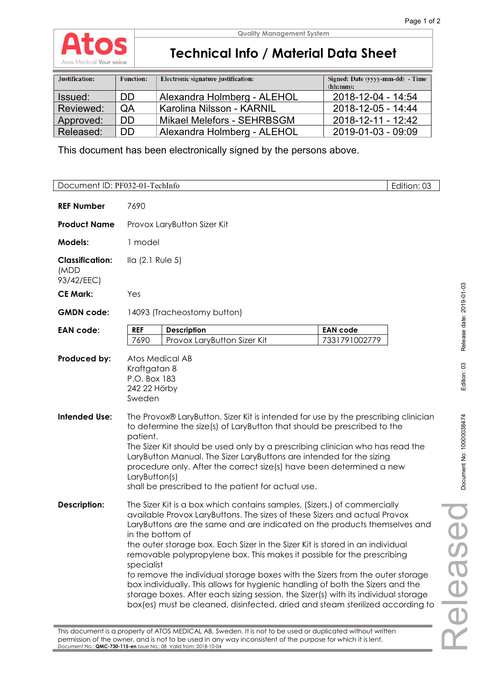

## **Technical Info / Material Data Sheet**

| Justification: | <b>Function:</b> | Electronic signature justification: | Signed: Date (yyyy-mm-dd) - Time<br>(hh:mm): |
|----------------|------------------|-------------------------------------|----------------------------------------------|
| Issued:        | <b>DD</b>        | Alexandra Holmberg - ALEHOL         | 2018-12-04 - 14:54                           |
| Reviewed:      | QA               | Karolina Nilsson - KARNIL           | 2018-12-05 - 14:44                           |
| Approved:      | <b>DD</b>        | Mikael Melefors - SEHRBSGM          | 2018-12-11 - 12:42                           |
| Released:      | <b>DD</b>        | Alexandra Holmberg - ALEHOL         | 2019-01-03 - 09:09                           |

This document has been electronically signed by the persons above.

| Document ID: PF032-01-TechInfo               |                                                                                                                                                                                                                                                                                                                                                                                                                                                                                                                                                                                                                                                                                                                                                                            | Edition: 03                      |  |  |
|----------------------------------------------|----------------------------------------------------------------------------------------------------------------------------------------------------------------------------------------------------------------------------------------------------------------------------------------------------------------------------------------------------------------------------------------------------------------------------------------------------------------------------------------------------------------------------------------------------------------------------------------------------------------------------------------------------------------------------------------------------------------------------------------------------------------------------|----------------------------------|--|--|
| <b>REF Number</b>                            | 7690                                                                                                                                                                                                                                                                                                                                                                                                                                                                                                                                                                                                                                                                                                                                                                       |                                  |  |  |
| <b>Product Name</b>                          | Provox LaryButton Sizer Kit                                                                                                                                                                                                                                                                                                                                                                                                                                                                                                                                                                                                                                                                                                                                                |                                  |  |  |
| <b>Models:</b>                               | 1 model                                                                                                                                                                                                                                                                                                                                                                                                                                                                                                                                                                                                                                                                                                                                                                    |                                  |  |  |
| <b>Classification:</b><br>(MDD<br>93/42/EEC) | $IIa$ (2.1 Rule 5)                                                                                                                                                                                                                                                                                                                                                                                                                                                                                                                                                                                                                                                                                                                                                         |                                  |  |  |
| <b>CE Mark:</b>                              | Yes                                                                                                                                                                                                                                                                                                                                                                                                                                                                                                                                                                                                                                                                                                                                                                        |                                  |  |  |
| <b>GMDN</b> code:                            | 14093 (Tracheostomy button)                                                                                                                                                                                                                                                                                                                                                                                                                                                                                                                                                                                                                                                                                                                                                |                                  |  |  |
| <b>EAN code:</b>                             | <b>REF</b><br><b>Description</b><br>7690<br>Provox LaryButton Sizer Kit                                                                                                                                                                                                                                                                                                                                                                                                                                                                                                                                                                                                                                                                                                    | <b>EAN code</b><br>7331791002779 |  |  |
| Produced by:                                 | Atos Medical AB<br>Kraftgatan 8<br>P.O. Box 183<br>242 22 Hörby<br>Sweden                                                                                                                                                                                                                                                                                                                                                                                                                                                                                                                                                                                                                                                                                                  |                                  |  |  |
| <b>Intended Use:</b>                         | The Provox® LaryButton. Sizer Kit is intended for use by the prescribing clinician<br>to determine the size(s) of LaryButton that should be prescribed to the<br>patient.<br>The Sizer Kit should be used only by a prescribing clinician who has read the<br>LaryButton Manual. The Sizer LaryButtons are intended for the sizing<br>procedure only. After the correct size(s) have been determined a new<br>LaryButton(s)<br>shall be prescribed to the patient for actual use.                                                                                                                                                                                                                                                                                          |                                  |  |  |
| <b>Description:</b>                          | The Sizer Kit is a box which contains samples, (Sizers.) of commercially<br>available Provox LaryButtons. The sizes of these Sizers and actual Provox<br>LaryButtons are the same and are indicated on the products themselves and<br>in the bottom of<br>the outer storage box. Each Sizer in the Sizer Kit is stored in an individual<br>removable polypropylene box. This makes it possible for the prescribing<br>specialist<br>to remove the individual storage boxes with the Sizers from the outer storage<br>box individually. This allows for hygienic handling of both the Sizers and the<br>storage boxes. After each sizing session, the Sizer(s) with its individual storage<br>box(es) must be cleaned, disinfected, dried and steam sterilized according to |                                  |  |  |
|                                              | This document is a property of ATOS MEDICAL AB, Sweden. It is not to be used or duplicated without written                                                                                                                                                                                                                                                                                                                                                                                                                                                                                                                                                                                                                                                                 |                                  |  |  |

permission of the owner, and is not to be used in any way inconsistent of the purpose for which it is lent.

Document No.: **QMC-730-115-en** Issue No.: 08 Valid from: 2018-10-04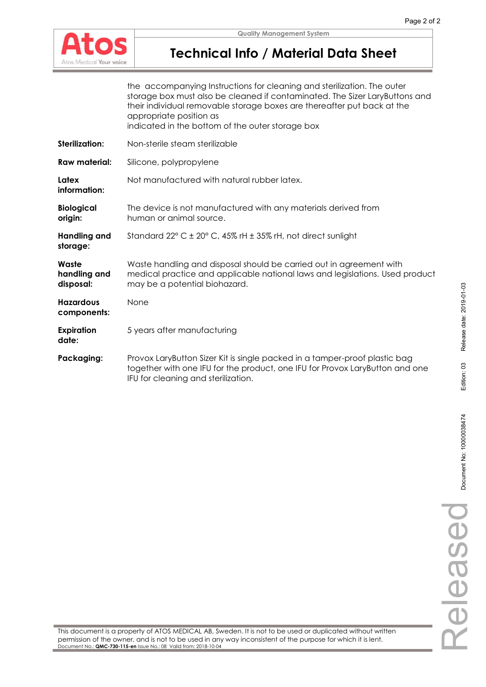

## **Technical Info / Material Data Sheet**

|                                    | the accompanying Instructions for cleaning and sterilization. The outer<br>storage box must also be cleaned if contaminated. The Sizer LaryButtons and<br>their individual removable storage boxes are thereafter put back at the<br>appropriate position as<br>indicated in the bottom of the outer storage box |
|------------------------------------|------------------------------------------------------------------------------------------------------------------------------------------------------------------------------------------------------------------------------------------------------------------------------------------------------------------|
| Sterilization:                     | Non-sterile steam sterilizable                                                                                                                                                                                                                                                                                   |
| <b>Raw material:</b>               | Silicone, polypropylene                                                                                                                                                                                                                                                                                          |
| Latex<br>information:              | Not manufactured with natural rubber latex.                                                                                                                                                                                                                                                                      |
| <b>Biological</b><br>origin:       | The device is not manufactured with any materials derived from<br>human or animal source.                                                                                                                                                                                                                        |
| <b>Handling and</b><br>storage:    | Standard 22° C ± 20° C, 45% rH ± 35% rH, not direct sunlight                                                                                                                                                                                                                                                     |
| Waste<br>handling and<br>disposal: | Waste handling and disposal should be carried out in agreement with<br>medical practice and applicable national laws and legislations. Used product<br>may be a potential biohazard.                                                                                                                             |
| <b>Hazardous</b><br>components:    | None                                                                                                                                                                                                                                                                                                             |
| <b>Expiration</b><br>date:         | 5 years after manufacturing                                                                                                                                                                                                                                                                                      |
| Packaging:                         | Provox LaryButton Sizer Kit is single packed in a tamper-proof plastic bag<br>together with one IFU for the product, one IFU for Provox LaryButton and one<br>IFU for cleaning and sterilization.                                                                                                                |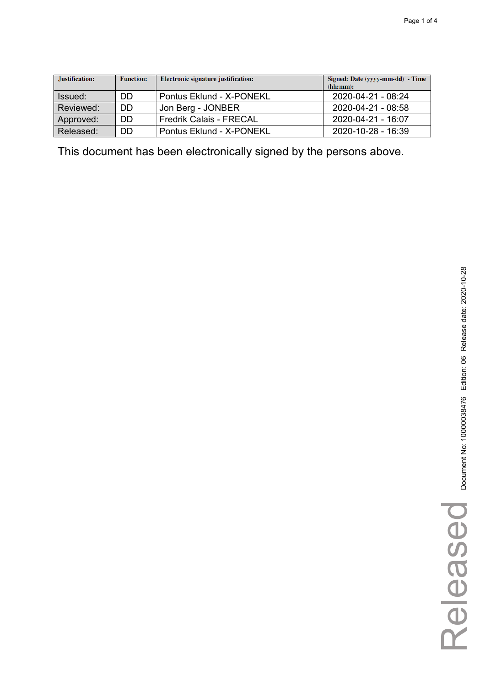| Justification: | <b>Function:</b> | Electronic signature justification: | Signed: Date (yyyy-mm-dd) - Time<br>(hh:mm): |
|----------------|------------------|-------------------------------------|----------------------------------------------|
| Issued:        | DD               | Pontus Eklund - X-PONEKL            | 2020-04-21 - 08:24                           |
| Reviewed:      | DD               | Jon Berg - JONBER                   | 2020-04-21 - 08:58                           |
| Approved:      | DD               | <b>Fredrik Calais - FRECAL</b>      | 2020-04-21 - 16:07                           |
| Released:      | DD               | Pontus Eklund - X-PONEKL            | 2020-10-28 - 16:39                           |

This document has been electronically signed by the persons above.

Released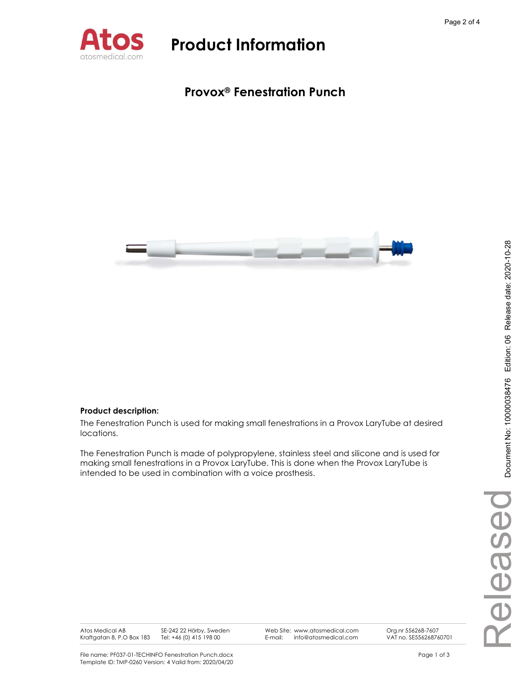

### Provox® Fenestration Punch



### Product description:

The Fenestration Punch is used for making small fenestrations in a Provox LaryTube at desired locations.

The Fenestration Punch is made of polypropylene, stainless steel and silicone and is used for making small fenestrations in a Provox LaryTube. This is done when the Provox LaryTube is intended to be used in combination with a voice prosthesis.

Atos Medical AB Kraftgatan 8, P.O Box 183 SE-242 22 Hörby, Sweden Tel: +46 (0) 415 198 00

Web Site: www.atosmedical.com<br>F-mail: info@atosmedical.com

E-mail: info@atosmedical.com Org.nr 556268-7607 VAT no. SE556268760701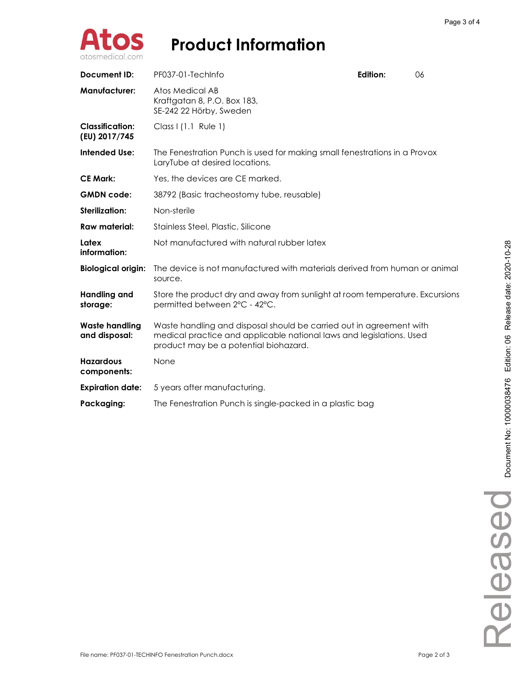

| <b>Document ID:</b>                     | PF037-01-TechInfo                                                                                                                                                                    | Edition: | 06 |
|-----------------------------------------|--------------------------------------------------------------------------------------------------------------------------------------------------------------------------------------|----------|----|
| <b>Manufacturer:</b>                    | Atos Medical AB<br>Kraftgatan 8, P.O. Box 183,<br>SE-242 22 Hörby, Sweden                                                                                                            |          |    |
| <b>Classification:</b><br>(EU) 2017/745 | Class I (1.1 Rule 1)                                                                                                                                                                 |          |    |
| Intended Use:                           | The Fenestration Punch is used for making small fenestrations in a Provox<br>LaryTube at desired locations.                                                                          |          |    |
| <b>CE Mark:</b>                         | Yes, the devices are CE marked.                                                                                                                                                      |          |    |
| <b>GMDN</b> code:                       | 38792 (Basic tracheostomy tube, reusable)                                                                                                                                            |          |    |
| Sterilization:                          | Non-sterile                                                                                                                                                                          |          |    |
| Raw material:                           | Stainless Steel, Plastic, Silicone                                                                                                                                                   |          |    |
| Latex<br>information:                   | Not manufactured with natural rubber latex                                                                                                                                           |          |    |
| <b>Biological origin:</b>               | The device is not manufactured with materials derived from human or animal<br>source.                                                                                                |          |    |
| <b>Handling and</b><br>storage:         | Store the product dry and away from sunlight at room temperature. Excursions<br>permitted between 2°C - 42°C.                                                                        |          |    |
| <b>Waste handling</b><br>and disposal:  | Waste handling and disposal should be carried out in agreement with<br>medical practice and applicable national laws and legislations. Used<br>product may be a potential biohazard. |          |    |
| <b>Hazardous</b><br>components:         | None                                                                                                                                                                                 |          |    |
| <b>Expiration date:</b>                 | 5 years after manufacturing.                                                                                                                                                         |          |    |
| Packaging:                              | The Fenestration Punch is single-packed in a plastic bag                                                                                                                             |          |    |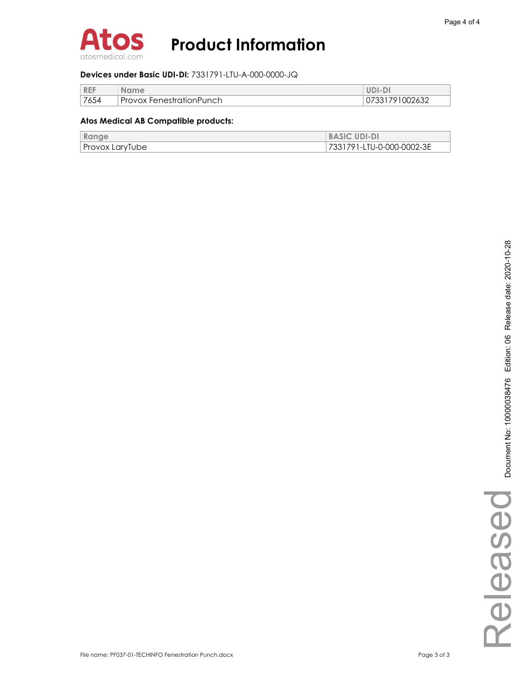

#### Devices under Basic UDI-DI: 7331791-LTU-A-000-0000-JQ

| <b>REF</b> | <b>Name</b>                     | UDI-DI         |
|------------|---------------------------------|----------------|
| 7654       | <b>Provox FenestrationPunch</b> | 07331791002632 |

#### Atos Medical AB Compatible products:

| Range           | <b>BASIC UDI-DI</b>       |
|-----------------|---------------------------|
| Provox LaryTube | 7331791-LTU-0-000-0002-3E |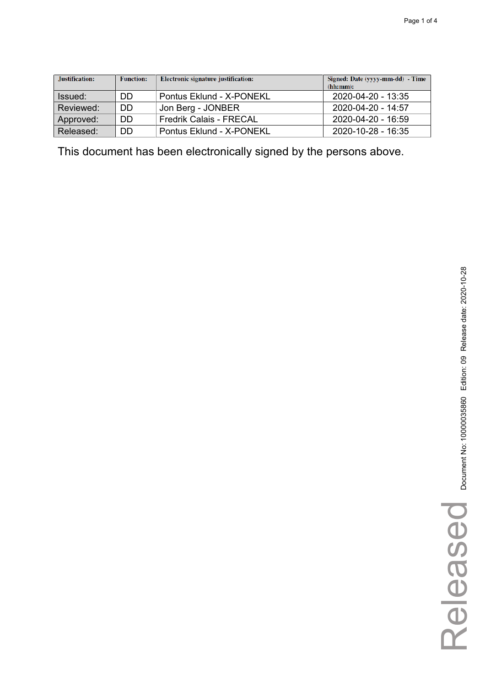| Justification: | <b>Function:</b> | Electronic signature justification: | Signed: Date (yyyy-mm-dd) - Time<br>(hh:mm): |
|----------------|------------------|-------------------------------------|----------------------------------------------|
| Issued:        | DD               | Pontus Eklund - X-PONEKL            | 2020-04-20 - 13:35                           |
| Reviewed:      | DD               | Jon Berg - JONBER                   | 2020-04-20 - 14:57                           |
| Approved:      | DD               | <b>Fredrik Calais - FRECAL</b>      | 2020-04-20 - 16:59                           |
| Released:      | DD               | Pontus Eklund - X-PONEKL            | $2020 - 10 - 28 - 16.35$                     |

This document has been electronically signed by the persons above.

Released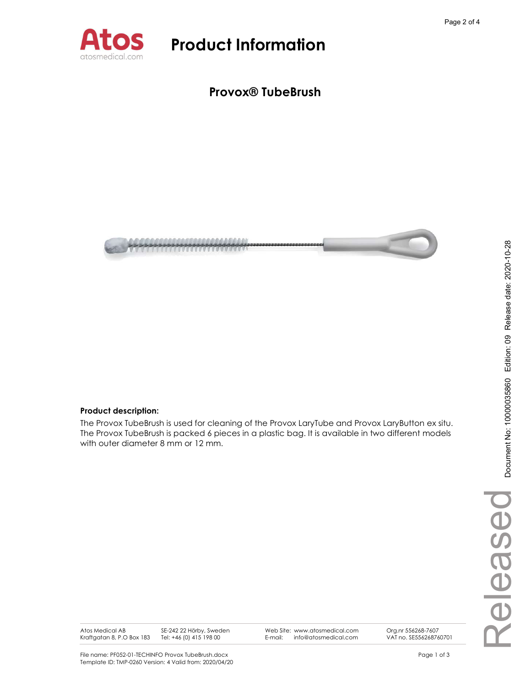

### Provox® TubeBrush



#### Product description:

The Provox TubeBrush is used for cleaning of the Provox LaryTube and Provox LaryButton ex situ. The Provox TubeBrush is packed 6 pieces in a plastic bag. It is available in two different models with outer diameter 8 mm or 12 mm.

Atos Medical AB Kraftgatan 8, P.O Box 183 SE-242 22 Hörby, Sweden Tel: +46 (0) 415 198 00

Web Site: www.atosmedical.com<br>F-mail: info@atosmedical.com E-mail: info@atosmedical.com Org.nr 556268-7607 VAT no. SE556268760701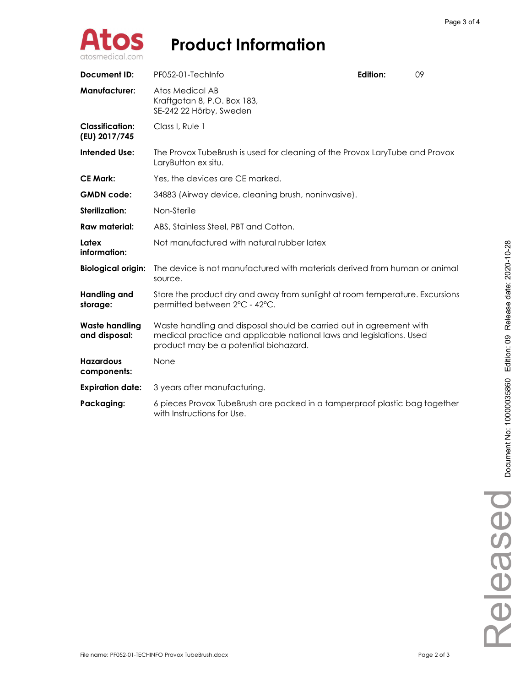

| Document ID:                            | PF052-01-TechInfo                                                                                                                                                                    | <b>Edition:</b> | 09 |  |
|-----------------------------------------|--------------------------------------------------------------------------------------------------------------------------------------------------------------------------------------|-----------------|----|--|
| <b>Manufacturer:</b>                    | Atos Medical AB<br>Kraftgatan 8, P.O. Box 183,<br>SE-242 22 Hörby, Sweden                                                                                                            |                 |    |  |
| <b>Classification:</b><br>(EU) 2017/745 | Class I, Rule 1                                                                                                                                                                      |                 |    |  |
| Intended Use:                           | The Provox TubeBrush is used for cleaning of the Provox LaryTube and Provox<br>LaryButton ex situ.                                                                                   |                 |    |  |
| <b>CE Mark:</b>                         | Yes, the devices are CE marked.                                                                                                                                                      |                 |    |  |
| <b>GMDN</b> code:                       | 34883 (Airway device, cleaning brush, noninvasive).                                                                                                                                  |                 |    |  |
| Sterilization:                          | Non-Sterile                                                                                                                                                                          |                 |    |  |
| Raw material:                           | ABS, Stainless Steel, PBT and Cotton.                                                                                                                                                |                 |    |  |
| Latex<br>information:                   | Not manufactured with natural rubber latex                                                                                                                                           |                 |    |  |
| <b>Biological origin:</b>               | The device is not manufactured with materials derived from human or animal<br>source.                                                                                                |                 |    |  |
| <b>Handling and</b><br>storage:         | Store the product dry and away from sunlight at room temperature. Excursions<br>permitted between 2°C - 42°C.                                                                        |                 |    |  |
| <b>Waste handling</b><br>and disposal:  | Waste handling and disposal should be carried out in agreement with<br>medical practice and applicable national laws and legislations. Used<br>product may be a potential biohazard. |                 |    |  |
| <b>Hazardous</b><br>components:         | None                                                                                                                                                                                 |                 |    |  |
| <b>Expiration date:</b>                 | 3 years after manufacturing.                                                                                                                                                         |                 |    |  |
| Packaging:                              | 6 pieces Provox TubeBrush are packed in a tamperproof plastic bag together<br>with Instructions for Use.                                                                             |                 |    |  |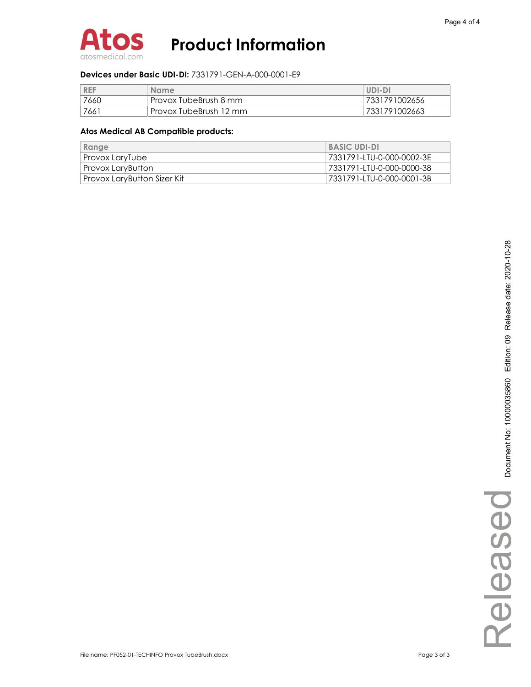

#### Devices under Basic UDI-DI: 7331791-GEN-A-000-0001-E9

| <b>REF</b> | <b>Name</b>            | UDI-DI        |
|------------|------------------------|---------------|
| 7660       | Provox TubeBrush 8 mm  | 7331791002656 |
| 7661       | Provox TubeBrush 12 mm | 7331791002663 |

#### Atos Medical AB Compatible products:

| Range                       | <b>BASIC UDI-DI</b>       |
|-----------------------------|---------------------------|
| Provox LaryTube             | 7331791-LTU-0-000-0002-3E |
| Provox LaryButton           | 7331791-LTU-0-000-0000-38 |
| Provox LaryButton Sizer Kit | 7331791-LTU-0-000-0001-3B |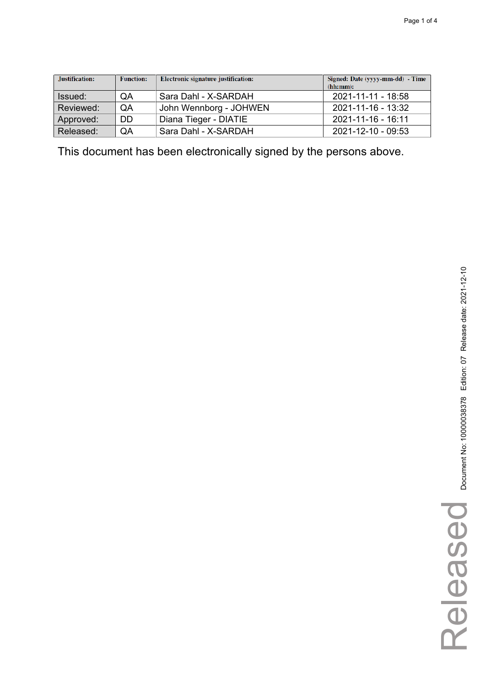| Justification: | <b>Function:</b> | Electronic signature justification: | Signed: Date (yyyy-mm-dd) - Time<br>(hh:mm): |
|----------------|------------------|-------------------------------------|----------------------------------------------|
| Issued:        | QA               | Sara Dahl - X-SARDAH                | 2021-11-11 - 18:58                           |
| Reviewed:      | QA               | John Wennborg - JOHWEN              | 2021-11-16 - 13:32                           |
| Approved:      | DD               | Diana Tieger - DIATIE               | 2021-11-16 - 16:11                           |
| Released:      | QA               | Sara Dahl - X-SARDAH                | 2021-12-10 - 09:53                           |

This document has been electronically signed by the persons above.

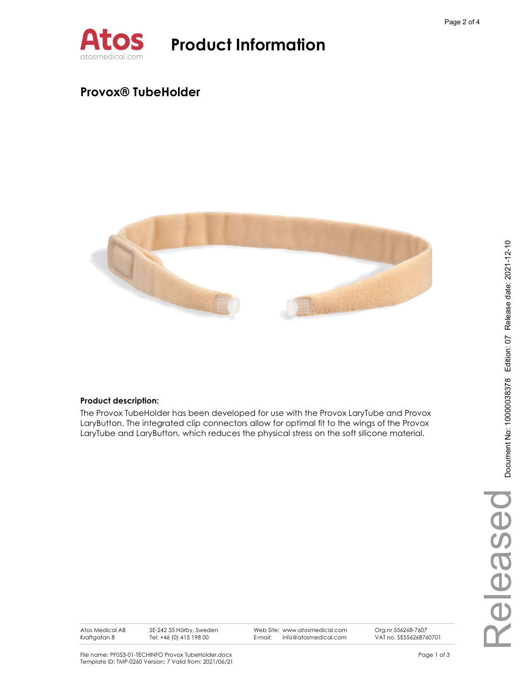

### Provox® TubeHolder



### Product description:

The Provox TubeHolder has been developed for use with the Provox LaryTube and Provox LaryButton. The integrated clip connectors allow for optimal fit to the wings of the Provox LaryTube and LaryButton, which reduces the physical stress on the soft silicone material.

Web Site: www.atosmedical.com<br>F-mail: info@atosmedical.com E-mail: info@atosmedical.com

Org.nr 556268-7607 VAT no. SE556268760701

File name: PF053-01-TECHINFO Provox TubeHolder.docx example and the state of 3 and 2 of 3 Template ID: TMP-0260 Version: 7 Valid from: 2021/06/21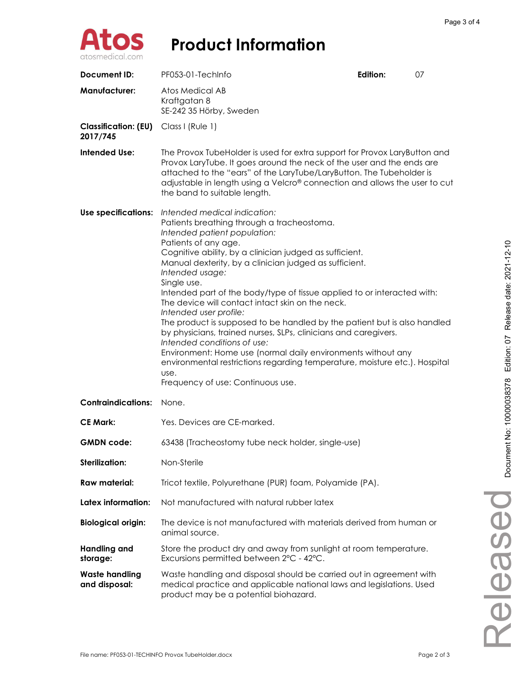

| Document ID:                            | PF053-01-TechInfo                                                                                                                                                                                                                                                                                                                                                                                                                                                                                                                                                                                                                                                                                                                                                                                                           | Edition: | 07 |
|-----------------------------------------|-----------------------------------------------------------------------------------------------------------------------------------------------------------------------------------------------------------------------------------------------------------------------------------------------------------------------------------------------------------------------------------------------------------------------------------------------------------------------------------------------------------------------------------------------------------------------------------------------------------------------------------------------------------------------------------------------------------------------------------------------------------------------------------------------------------------------------|----------|----|
| <b>Manufacturer:</b>                    | Atos Medical AB<br>Kraftgatan 8<br>SE-242 35 Hörby, Sweden                                                                                                                                                                                                                                                                                                                                                                                                                                                                                                                                                                                                                                                                                                                                                                  |          |    |
| <b>Classification: (EU)</b><br>2017/745 | Class I (Rule 1)                                                                                                                                                                                                                                                                                                                                                                                                                                                                                                                                                                                                                                                                                                                                                                                                            |          |    |
| <b>Intended Use:</b>                    | The Provox TubeHolder is used for extra support for Provox LaryButton and<br>Provox LaryTube. It goes around the neck of the user and the ends are<br>attached to the "ears" of the LaryTube/LaryButton. The Tubeholder is<br>adjustable in length using a Velcro® connection and allows the user to cut<br>the band to suitable length.                                                                                                                                                                                                                                                                                                                                                                                                                                                                                    |          |    |
| Use specifications:                     | Intended medical indication:<br>Patients breathing through a tracheostoma.<br>Intended patient population:<br>Patients of any age.<br>Cognitive ability, by a clinician judged as sufficient.<br>Manual dexterity, by a clinician judged as sufficient.<br>Intended usage:<br>Single use.<br>Intended part of the body/type of tissue applied to or interacted with:<br>The device will contact intact skin on the neck.<br>Intended user profile:<br>The product is supposed to be handled by the patient but is also handled<br>by physicians, trained nurses, SLPs, clinicians and caregivers.<br>Intended conditions of use:<br>Environment: Home use (normal daily environments without any<br>environmental restrictions regarding temperature, moisture etc.). Hospital<br>use.<br>Frequency of use: Continuous use. |          |    |
| <b>Contraindications:</b>               | None.                                                                                                                                                                                                                                                                                                                                                                                                                                                                                                                                                                                                                                                                                                                                                                                                                       |          |    |
| <b>CE Mark:</b>                         | Yes. Devices are CE-marked.                                                                                                                                                                                                                                                                                                                                                                                                                                                                                                                                                                                                                                                                                                                                                                                                 |          |    |
| <b>GMDN</b> code:                       | 63438 (Tracheostomy tube neck holder, single-use)                                                                                                                                                                                                                                                                                                                                                                                                                                                                                                                                                                                                                                                                                                                                                                           |          |    |
| <b>Sterilization:</b>                   | Non-Sterile                                                                                                                                                                                                                                                                                                                                                                                                                                                                                                                                                                                                                                                                                                                                                                                                                 |          |    |
| <b>Raw material:</b>                    | Tricot textile, Polyurethane (PUR) foam, Polyamide (PA).                                                                                                                                                                                                                                                                                                                                                                                                                                                                                                                                                                                                                                                                                                                                                                    |          |    |
| Latex information:                      | Not manufactured with natural rubber latex                                                                                                                                                                                                                                                                                                                                                                                                                                                                                                                                                                                                                                                                                                                                                                                  |          |    |
| <b>Biological origin:</b>               | The device is not manufactured with materials derived from human or<br>animal source.                                                                                                                                                                                                                                                                                                                                                                                                                                                                                                                                                                                                                                                                                                                                       |          |    |
| <b>Handling and</b><br>storage:         | Store the product dry and away from sunlight at room temperature.<br>Excursions permitted between 2°C - 42°C.                                                                                                                                                                                                                                                                                                                                                                                                                                                                                                                                                                                                                                                                                                               |          |    |
| <b>Waste handling</b><br>and disposal:  | Waste handling and disposal should be carried out in agreement with<br>medical practice and applicable national laws and legislations. Used<br>product may be a potential biohazard.                                                                                                                                                                                                                                                                                                                                                                                                                                                                                                                                                                                                                                        |          |    |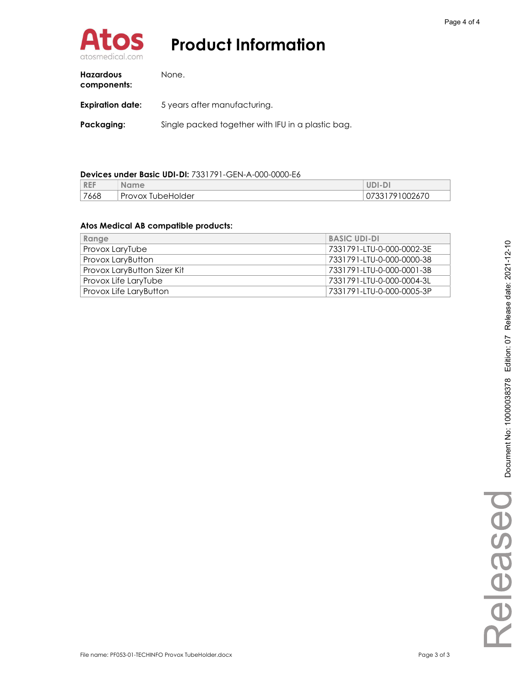

| <b>Hazardous</b><br>components: | None.                                             |
|---------------------------------|---------------------------------------------------|
| <b>Expiration date:</b>         | 5 years after manufacturing.                      |
| Packaging:                      | Single packed together with IFU in a plastic bag. |

### Devices under Basic UDI-DI: 7331791-GEN-A-000-0000-E6

| <b>REF</b> | <b>Name</b>                 | UDI-DI             |
|------------|-----------------------------|--------------------|
| 7668       | <b>TubeHolder</b><br>Provox | 791002670"<br>U/33 |

#### Atos Medical AB compatible products:

| Range                              | <b>BASIC UDI-DI</b>       |
|------------------------------------|---------------------------|
| Provox LaryTube                    | 7331791-LTU-0-000-0002-3E |
| Provox LaryButton                  | 7331791-LTU-0-000-0000-38 |
| <b>Provox LaryButton Sizer Kit</b> | 7331791-LTU-0-000-0001-3B |
| Provox Life LaryTube               | 7331791-LTU-0-000-0004-3L |
| Provox Life LaryButton             | 7331791-LTU-0-000-0005-3P |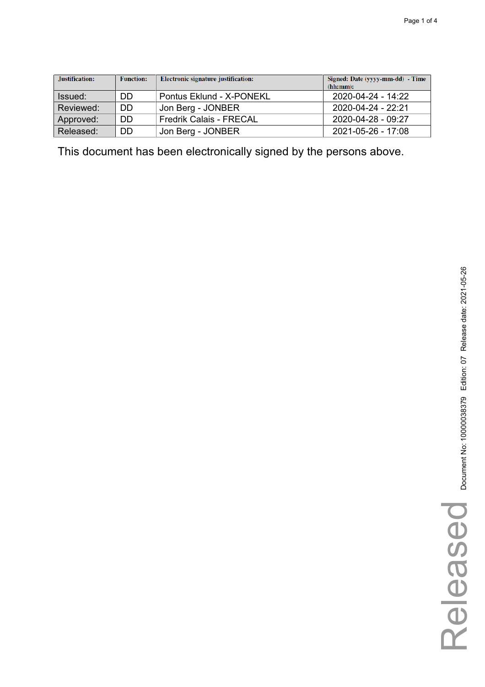| Justification: | <b>Function:</b> | Electronic signature justification: | Signed: Date (yyyy-mm-dd) - Time<br>(hh:mm): |
|----------------|------------------|-------------------------------------|----------------------------------------------|
| Issued:        | DD               | Pontus Eklund - X-PONEKL            | 2020-04-24 - 14:22                           |
| Reviewed:      | DD               | Jon Berg - JONBER                   | 2020-04-24 - 22:21                           |
| Approved:      | DD               | <b>Fredrik Calais - FRECAL</b>      | 2020-04-28 - 09:27                           |
| Released:      | DD               | Jon Berg - JONBER                   | 2021-05-26 - 17:08                           |

This document has been electronically signed by the persons above.

Released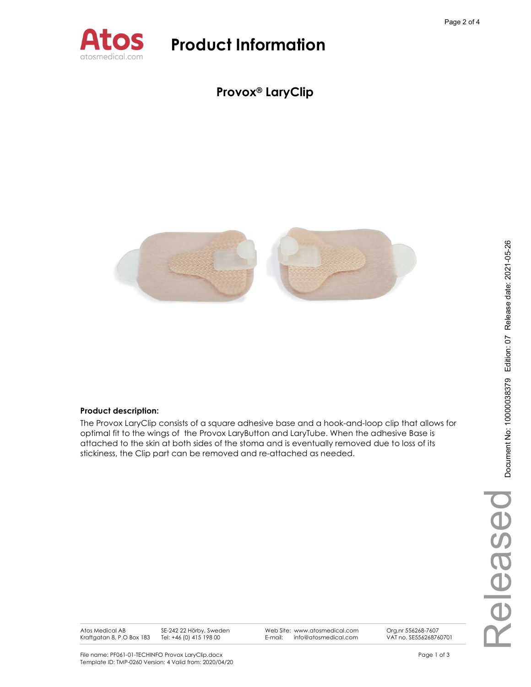

Provox® LaryClip



#### Product description:

The Provox LaryClip consists of a square adhesive base and a hook-and-loop clip that allows for optimal fit to the wings of the Provox LaryButton and LaryTube. When the adhesive Base is attached to the skin at both sides of the stoma and is eventually removed due to loss of its stickiness, the Clip part can be removed and re-attached as needed.

Atos Medical AB Kraftgatan 8, P.O Box 183 Tel: +46 (0) 415 198 00

SE-242 22 Hörby, Sweden

Web Site: www.atosmedical.com<br>F-mail: info@atosmedical.com E-mail: info@atosmedical.com Org.nr 556268-7607 VAT no. SE556268760701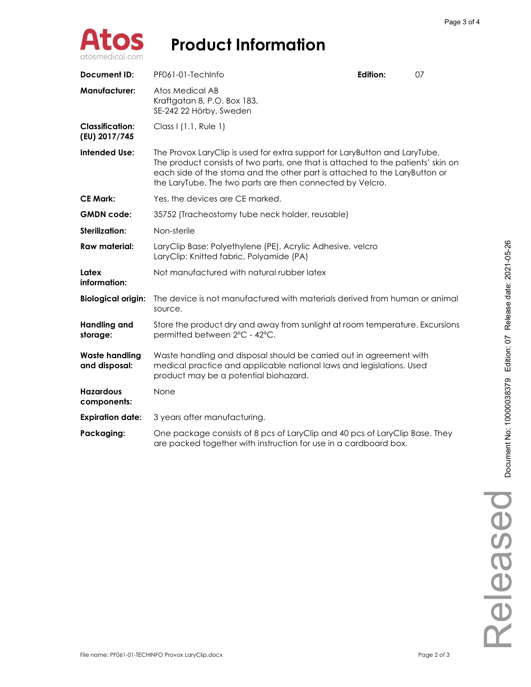

| <b>Document ID:</b>                     | PF061-01-TechInfo                                                                                                                                                                                                                                                                                         | Edition: | 07 |
|-----------------------------------------|-----------------------------------------------------------------------------------------------------------------------------------------------------------------------------------------------------------------------------------------------------------------------------------------------------------|----------|----|
| <b>Manufacturer:</b>                    | Atos Medical AB<br>Kraftgatan 8, P.O. Box 183,<br>SE-242 22 Hörby, Sweden                                                                                                                                                                                                                                 |          |    |
| <b>Classification:</b><br>(EU) 2017/745 | Class I (1.1, Rule 1)                                                                                                                                                                                                                                                                                     |          |    |
| <b>Intended Use:</b>                    | The Provox LaryClip is used for extra support for LaryButton and LaryTube.<br>The product consists of two parts, one that is attached to the patients' skin on<br>each side of the stoma and the other part is attached to the LaryButton or<br>the LaryTube. The two parts are then connected by Velcro. |          |    |
| <b>CE Mark:</b>                         | Yes, the devices are CE marked.                                                                                                                                                                                                                                                                           |          |    |
| <b>GMDN</b> code:                       | 35752 (Tracheostomy tube neck holder, reusable)                                                                                                                                                                                                                                                           |          |    |
| Sterilization:                          | Non-sterile                                                                                                                                                                                                                                                                                               |          |    |
| <b>Raw material:</b>                    | LaryClip Base: Polyethylene (PE), Acrylic Adhesive, velcro<br>LaryClip: Knitted fabric, Polyamide (PA)                                                                                                                                                                                                    |          |    |
| Latex<br>information:                   | Not manufactured with natural rubber latex                                                                                                                                                                                                                                                                |          |    |
| <b>Biological origin:</b>               | The device is not manufactured with materials derived from human or animal<br>source.                                                                                                                                                                                                                     |          |    |
| <b>Handling and</b><br>storage:         | Store the product dry and away from sunlight at room temperature. Excursions<br>permitted between 2°C - 42°C.                                                                                                                                                                                             |          |    |
| <b>Waste handling</b><br>and disposal:  | Waste handling and disposal should be carried out in agreement with<br>medical practice and applicable national laws and legislations. Used<br>product may be a potential biohazard.                                                                                                                      |          |    |
| <b>Hazardous</b><br>components:         | None                                                                                                                                                                                                                                                                                                      |          |    |
| <b>Expiration date:</b>                 | 3 years after manufacturing.                                                                                                                                                                                                                                                                              |          |    |
| Packaging:                              | One package consists of 8 pcs of LaryClip and 40 pcs of LaryClip Base. They<br>are packed together with instruction for use in a cardboard box.                                                                                                                                                           |          |    |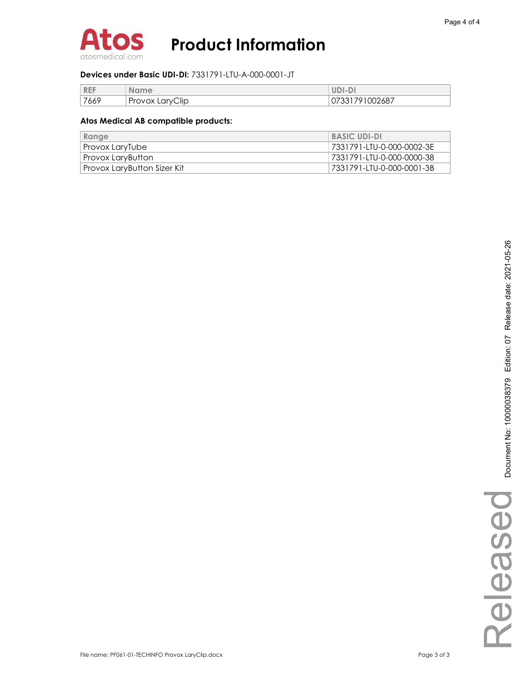

#### Devices under Basic UDI-DI: 7331791-LTU-A-000-0001-JT

| <b>REF</b> | <b>Name</b>     | UDI-DI         |
|------------|-----------------|----------------|
| 7669       | Provox LaryClip | 07331791002687 |

#### Atos Medical AB compatible products:

| Range                       | <b>BASIC UDI-DI</b>        |
|-----------------------------|----------------------------|
| Provox LaryTube             | 7331791-LTU-0-000-0002-3E  |
| Provox LaryButton           | 7331791-LTU-0-000-0000-38  |
| Provox LaryButton Sizer Kit | 7331791-LTU-0-000-0001-3B" |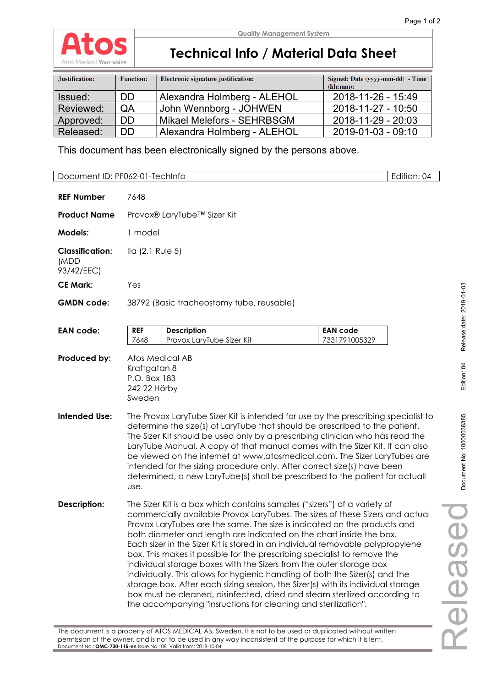

**Quality Management System**

### **Technical Info / Material Data Sheet**

| Justification: | <b>Function:</b> | Electronic signature justification: | Signed: Date (yyyy-mm-dd) - Time<br>(hh:mm): |
|----------------|------------------|-------------------------------------|----------------------------------------------|
| Issued:        | DD.              | Alexandra Holmberg - ALEHOL         | 2018-11-26 - 15:49                           |
| Reviewed:      | QA               | John Wennborg - JOHWEN              | 2018-11-27 - 10:50                           |
| Approved:      | <b>DD</b>        | Mikael Melefors - SEHRBSGM          | 2018-11-29 - 20:03                           |
| Released:      | <b>DD</b>        | Alexandra Holmberg - ALEHOL         | 2019-01-03 - 09:10                           |

This document has been electronically signed by the persons above.

Document ID: PF062-01-TechInfo | Edition: 04

| <b>REF Number</b>                            | 7648                                                                                                                                                                                                                                                                                                                                                                                                                                                                                                                                                                                                                                                                                                                                                                                                                                                                 |                                  |  |  |
|----------------------------------------------|----------------------------------------------------------------------------------------------------------------------------------------------------------------------------------------------------------------------------------------------------------------------------------------------------------------------------------------------------------------------------------------------------------------------------------------------------------------------------------------------------------------------------------------------------------------------------------------------------------------------------------------------------------------------------------------------------------------------------------------------------------------------------------------------------------------------------------------------------------------------|----------------------------------|--|--|
| <b>Product Name</b>                          | Provox® LaryTube™ Sizer Kit                                                                                                                                                                                                                                                                                                                                                                                                                                                                                                                                                                                                                                                                                                                                                                                                                                          |                                  |  |  |
| Models:                                      | 1 model                                                                                                                                                                                                                                                                                                                                                                                                                                                                                                                                                                                                                                                                                                                                                                                                                                                              |                                  |  |  |
| <b>Classification:</b><br>(MDD<br>93/42/EEC) | Ila (2.1 Rule 5)                                                                                                                                                                                                                                                                                                                                                                                                                                                                                                                                                                                                                                                                                                                                                                                                                                                     |                                  |  |  |
| <b>CE Mark:</b>                              | Yes                                                                                                                                                                                                                                                                                                                                                                                                                                                                                                                                                                                                                                                                                                                                                                                                                                                                  |                                  |  |  |
| <b>GMDN</b> code:                            | 38792 (Basic tracheostomy tube, reusable)                                                                                                                                                                                                                                                                                                                                                                                                                                                                                                                                                                                                                                                                                                                                                                                                                            |                                  |  |  |
| <b>EAN code:</b>                             | <b>REF</b><br><b>Description</b><br>7648<br>Provox LaryTube Sizer Kit                                                                                                                                                                                                                                                                                                                                                                                                                                                                                                                                                                                                                                                                                                                                                                                                | <b>EAN code</b><br>7331791005329 |  |  |
| Produced by:                                 | Atos Medical AB<br>Kraftgatan 8<br>P.O. Box 183<br>242 22 Hörby<br>Sweden                                                                                                                                                                                                                                                                                                                                                                                                                                                                                                                                                                                                                                                                                                                                                                                            |                                  |  |  |
| <b>Intended Use:</b>                         | The Provox LaryTube Sizer Kit is intended for use by the prescribing specialist to<br>determine the size(s) of LaryTube that should be prescribed to the patient.<br>The Sizer Kit should be used only by a prescribing clinician who has read the<br>LaryTube Manual. A copy of that manual comes with the Sizer Kit. It can also<br>be viewed on the internet at www.atosmedical.com. The Sizer LaryTubes are<br>intended for the sizing procedure only. After correct size(s) have been<br>determined, a new LaryTube(s) shall be prescribed to the patient for actuall<br>use.                                                                                                                                                                                                                                                                                   |                                  |  |  |
| <b>Description:</b>                          | The Sizer Kit is a box which contains samples ("sizers") of a variety of<br>commercially available Provox LaryTubes. The sizes of these Sizers and actual<br>Provox LaryTubes are the same. The size is indicated on the products and<br>both diameter and length are indicated on the chart inside the box.<br>Each sizer in the Sizer Kit is stored in an individual removable polypropylene<br>box. This makes it possible for the prescribing specialist to remove the<br>individual storage boxes with the Sizers from the outer storage box<br>individually. This allows for hygienic handling of both the Sizer(s) and the<br>storage box. After each sizing session, the Sizer(s) with its individual storage<br>box must be cleaned, disinfected, dried and steam sterilized according to<br>the accompanying "insructions for cleaning and sterilization". |                                  |  |  |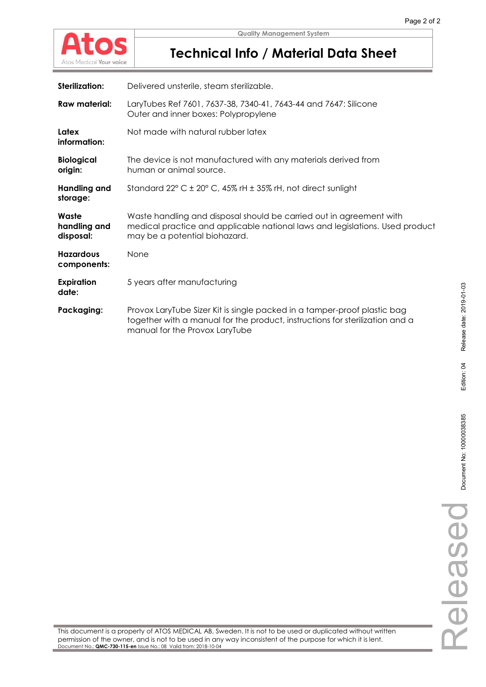

## **Technical Info / Material Data Sheet**

| Sterilization: | Delivered unsterile, steam sterilizable. |
|----------------|------------------------------------------|

| <b>Raw material:</b>               | LaryTubes Ref 7601, 7637-38, 7340-41, 7643-44 and 7647: Silicone<br>Outer and inner boxes: Polypropylene                                                                                   |
|------------------------------------|--------------------------------------------------------------------------------------------------------------------------------------------------------------------------------------------|
| Latex<br>information:              | Not made with natural rubber latex                                                                                                                                                         |
| <b>Biological</b><br>origin:       | The device is not manufactured with any materials derived from<br>human or animal source.                                                                                                  |
| Handling and<br>storage:           | Standard $22^{\circ}$ C $\pm$ 20° C, 45% rH $\pm$ 35% rH, not direct sunlight                                                                                                              |
| Waste<br>handling and<br>disposal: | Waste handling and disposal should be carried out in agreement with<br>medical practice and applicable national laws and legislations. Used product<br>may be a potential biohazard.       |
| <b>Hazardous</b><br>components:    | None                                                                                                                                                                                       |
| <b>Expiration</b><br>date:         | 5 years after manufacturing                                                                                                                                                                |
| Packaging:                         | Provox LaryTube Sizer Kit is single packed in a tamper-proof plastic bag<br>together with a manual for the product, instructions for sterilization and a<br>manual for the Provox LaryTube |

Document No: 10000038385 Edition: 04 Release date: 2019-01-03 Document No: 10000038385 Released Released

Release date: 2019-01-03

Edition: 04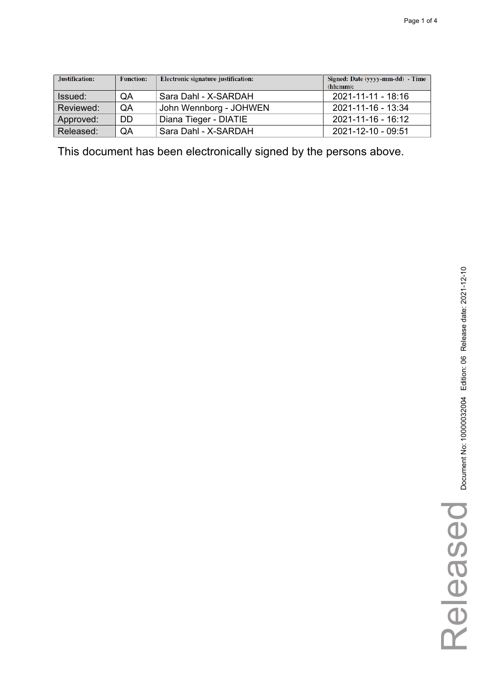| Justification: | <b>Function:</b> | Electronic signature justification: | Signed: Date (yyyy-mm-dd) - Time<br>(hh:mm): |
|----------------|------------------|-------------------------------------|----------------------------------------------|
| Issued:        | QA               | Sara Dahl - X-SARDAH                | 2021-11-11 - 18:16                           |
| Reviewed:      | QA               | John Wennborg - JOHWEN              | 2021-11-16 - 13:34                           |
| Approved:      | DD               | Diana Tieger - DIATIE               | 2021-11-16 - 16:12                           |
| Released:      | QA               | Sara Dahl - X-SARDAH                | 2021-12-10 - 09:51                           |

This document has been electronically signed by the persons above.

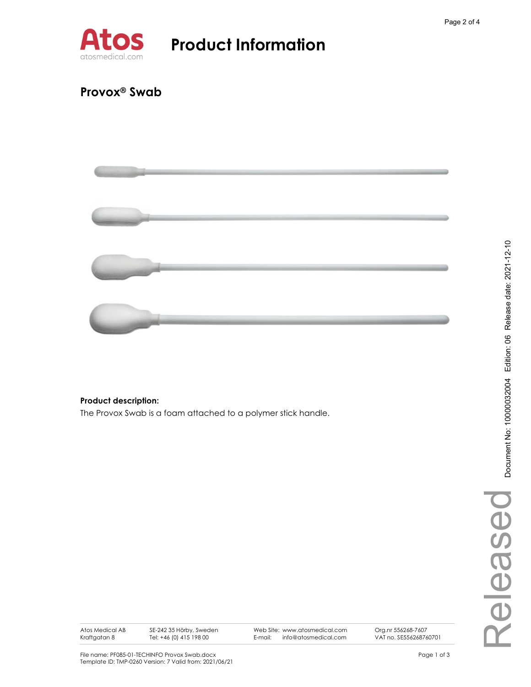

### Provox® Swab



### Product description:

The Provox Swab is a foam attached to a polymer stick handle.

Atos Medical AB Kraftgatan 8

SE-242 35 Hörby, Sweden Tel: +46 (0) 415 198 00

Web Site: www.atosmedical.com<br>E-mail: info@atosmedical.com info@atosmedical.com

Org.nr 556268-7607 VAT no. SE556268760701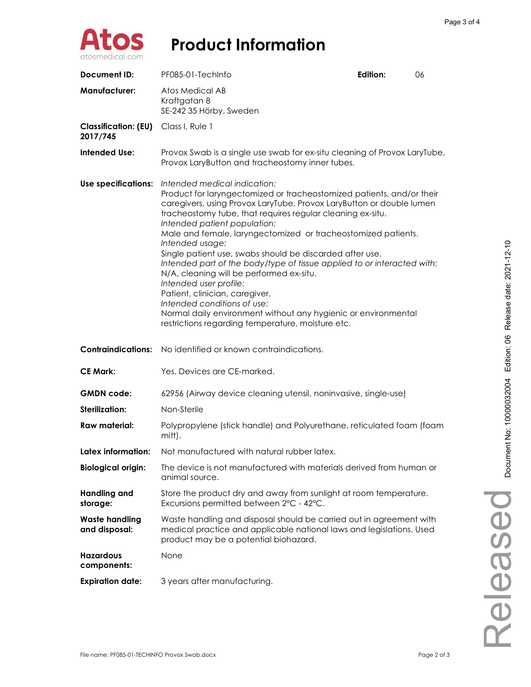

| Document ID:                            | PF085-01-TechInfo                                                                                                                                                                                                                                                                                                                                                                                                                                                                                                                                                                                                                                                                                                                                                    | Edition: | 06 |
|-----------------------------------------|----------------------------------------------------------------------------------------------------------------------------------------------------------------------------------------------------------------------------------------------------------------------------------------------------------------------------------------------------------------------------------------------------------------------------------------------------------------------------------------------------------------------------------------------------------------------------------------------------------------------------------------------------------------------------------------------------------------------------------------------------------------------|----------|----|
| <b>Manufacturer:</b>                    | Atos Medical AB<br>Kraftgatan 8<br>SE-242 35 Hörby, Sweden                                                                                                                                                                                                                                                                                                                                                                                                                                                                                                                                                                                                                                                                                                           |          |    |
| <b>Classification: (EU)</b><br>2017/745 | Class I, Rule 1                                                                                                                                                                                                                                                                                                                                                                                                                                                                                                                                                                                                                                                                                                                                                      |          |    |
| <b>Intended Use:</b>                    | Provox Swab is a single use swab for ex-situ cleaning of Provox LaryTube,<br>Provox LaryButton and tracheostomy inner tubes.                                                                                                                                                                                                                                                                                                                                                                                                                                                                                                                                                                                                                                         |          |    |
| <b>Use specifications:</b>              | Intended medical indication:<br>Product for laryngectomized or tracheostomized patients, and/or their<br>caregivers, using Provox LaryTube, Provox LaryButton or double lumen<br>tracheostomy tube, that requires regular cleaning ex-situ.<br>Intended patient population:<br>Male and female, laryngectomized or tracheostomized patients.<br>Intended usage:<br>Single patient use, swabs should be discarded after use.<br>Intended part of the body/type of tissue applied to or interacted with:<br>N/A, cleaning will be performed ex-situ.<br>Intended user profile:<br>Patient, clinician, caregiver.<br>Intended conditions of use:<br>Normal daily environment without any hygienic or environmental<br>restrictions regarding temperature, moisture etc. |          |    |
| <b>Contraindications:</b>               | No identified or known contraindications.                                                                                                                                                                                                                                                                                                                                                                                                                                                                                                                                                                                                                                                                                                                            |          |    |
| <b>CE Mark:</b>                         | Yes. Devices are CE-marked.                                                                                                                                                                                                                                                                                                                                                                                                                                                                                                                                                                                                                                                                                                                                          |          |    |
| <b>GMDN</b> code:                       | 62956 (Airway device cleaning utensil, noninvasive, single-use)                                                                                                                                                                                                                                                                                                                                                                                                                                                                                                                                                                                                                                                                                                      |          |    |
| <b>Sterilization:</b>                   | Non-Sterile                                                                                                                                                                                                                                                                                                                                                                                                                                                                                                                                                                                                                                                                                                                                                          |          |    |
| <b>Raw material:</b>                    | Polypropylene (stick handle) and Polyurethane, reticulated foam (foam<br>mitt).                                                                                                                                                                                                                                                                                                                                                                                                                                                                                                                                                                                                                                                                                      |          |    |
| Latex information:                      | Not manufactured with natural rubber latex.                                                                                                                                                                                                                                                                                                                                                                                                                                                                                                                                                                                                                                                                                                                          |          |    |
| <b>Biological origin:</b>               | The device is not manufactured with materials derived from human or<br>animal source.                                                                                                                                                                                                                                                                                                                                                                                                                                                                                                                                                                                                                                                                                |          |    |
| <b>Handling and</b><br>storage:         | Store the product dry and away from sunlight at room temperature.<br>Excursions permitted between 2°C - 42°C.                                                                                                                                                                                                                                                                                                                                                                                                                                                                                                                                                                                                                                                        |          |    |
| <b>Waste handling</b><br>and disposal:  | Waste handling and disposal should be carried out in agreement with<br>medical practice and applicable national laws and legislations. Used<br>product may be a potential biohazard.                                                                                                                                                                                                                                                                                                                                                                                                                                                                                                                                                                                 |          |    |
| <b>Hazardous</b><br>components:         | None                                                                                                                                                                                                                                                                                                                                                                                                                                                                                                                                                                                                                                                                                                                                                                 |          |    |
| <b>Expiration date:</b>                 | 3 years after manufacturing.                                                                                                                                                                                                                                                                                                                                                                                                                                                                                                                                                                                                                                                                                                                                         |          |    |